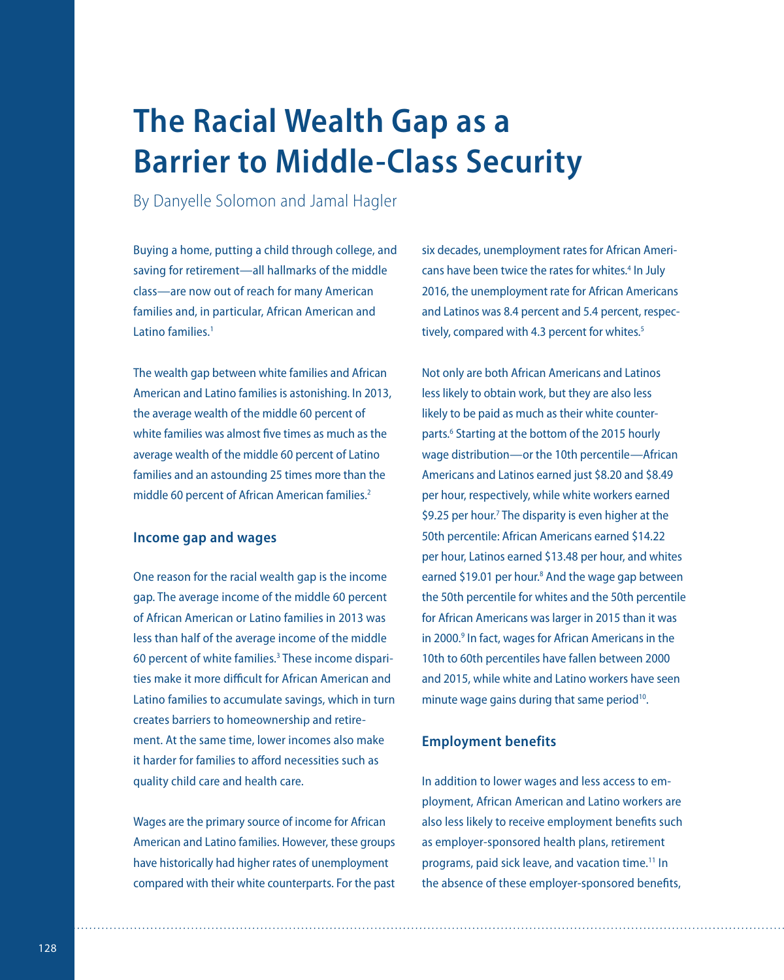# **The Racial Wealth Gap as a Barrier to Middle-Class Security**

By Danyelle Solomon and Jamal Hagler

Buying a home, putting a child through college, and saving for retirement—all hallmarks of the middle class—are now out of reach for many American families and, in particular, African American and Latino families<sup>1</sup>

The wealth gap between white families and African American and Latino families is astonishing. In 2013, the average wealth of the middle 60 percent of white families was almost five times as much as the average wealth of the middle 60 percent of Latino families and an astounding 25 times more than the middle 60 percent of African American families.<sup>2</sup>

## **Income gap and wages**

One reason for the racial wealth gap is the income gap. The average income of the middle 60 percent of African American or Latino families in 2013 was less than half of the average income of the middle 60 percent of white families.<sup>3</sup> These income disparities make it more difficult for African American and Latino families to accumulate savings, which in turn creates barriers to homeownership and retirement. At the same time, lower incomes also make it harder for families to afford necessities such as quality child care and health care.

Wages are the primary source of income for African American and Latino families. However, these groups have historically had higher rates of unemployment compared with their white counterparts. For the past six decades, unemployment rates for African Americans have been twice the rates for whites.<sup>4</sup> In July 2016, the unemployment rate for African Americans and Latinos was 8.4 percent and 5.4 percent, respectively, compared with 4.3 percent for whites.<sup>5</sup>

Not only are both African Americans and Latinos less likely to obtain work, but they are also less likely to be paid as much as their white counterparts.<sup>6</sup> Starting at the bottom of the 2015 hourly wage distribution—or the 10th percentile—African Americans and Latinos earned just \$8.20 and \$8.49 per hour, respectively, while white workers earned \$9.25 per hour.<sup>7</sup> The disparity is even higher at the 50th percentile: African Americans earned \$14.22 per hour, Latinos earned \$13.48 per hour, and whites earned \$19.01 per hour.<sup>8</sup> And the wage gap between the 50th percentile for whites and the 50th percentile for African Americans was larger in 2015 than it was in 2000.<sup>9</sup> In fact, wages for African Americans in the 10th to 60th percentiles have fallen between 2000 and 2015, while white and Latino workers have seen minute wage gains during that same period<sup>10</sup>.

## **Employment benefits**

In addition to lower wages and less access to employment, African American and Latino workers are also less likely to receive employment benefits such as employer-sponsored health plans, retirement programs, paid sick leave, and vacation time.<sup>11</sup> In the absence of these employer-sponsored benefits,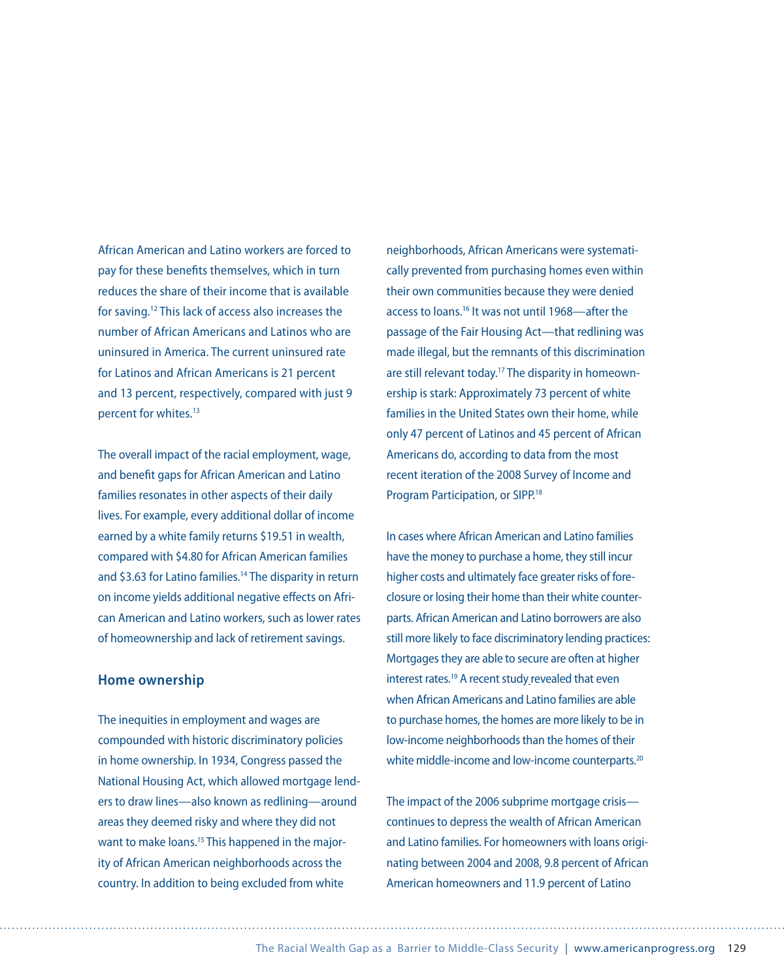African American and Latino workers are forced to pay for these benefits themselves, which in turn reduces the share of their income that is available for saving.12 This lack of access also increases the number of African Americans and Latinos who are uninsured in America. The current uninsured rate for Latinos and African Americans is 21 percent and 13 percent, respectively, compared with just 9 percent for whites.13

The overall impact of the racial employment, wage, and benefit gaps for African American and Latino families resonates in other aspects of their daily lives. For example, every additional dollar of income earned by a white family returns \$19.51 in wealth, compared with \$4.80 for African American families and \$3.63 for Latino families.<sup>14</sup> The disparity in return on income yields additional negative effects on African American and Latino workers, such as lower rates of homeownership and lack of retirement savings.

#### **Home ownership**

The inequities in employment and wages are compounded with historic discriminatory policies in home ownership. In 1934, Congress passed the National Housing Act, which allowed mortgage lenders to draw lines—also known as redlining—around areas they deemed risky and where they did not want to make loans.<sup>15</sup> This happened in the majority of African American neighborhoods across the country. In addition to being excluded from white

neighborhoods, African Americans were systematically prevented from purchasing homes even within their own communities because they were denied access to loans.16 It was not until 1968—after the passage of the Fair Housing Act—that redlining was made illegal, but the remnants of this discrimination are still relevant today.<sup>17</sup> The disparity in homeownership is stark: Approximately 73 percent of white families in the United States own their home, while only 47 percent of Latinos and 45 percent of African Americans do, according to data from the most recent iteration of the 2008 Survey of Income and Program Participation, or SIPP.18

In cases where African American and Latino families have the money to purchase a home, they still incur higher costs and ultimately face greater risks of foreclosure or losing their home than their white counterparts. African American and Latino borrowers are also still more likely to face discriminatory lending practices: Mortgages they are able to secure are often at higher interest rates.<sup>19</sup> A recent study revealed that even when African Americans and Latino families are able to purchase homes, the homes are more likely to be in low-income neighborhoods than the homes of their white middle-income and low-income counterparts.<sup>20</sup>

The impact of the 2006 subprime mortgage crisis continues to depress the wealth of African American and Latino families. For homeowners with loans originating between 2004 and 2008, 9.8 percent of African American homeowners and 11.9 percent of Latino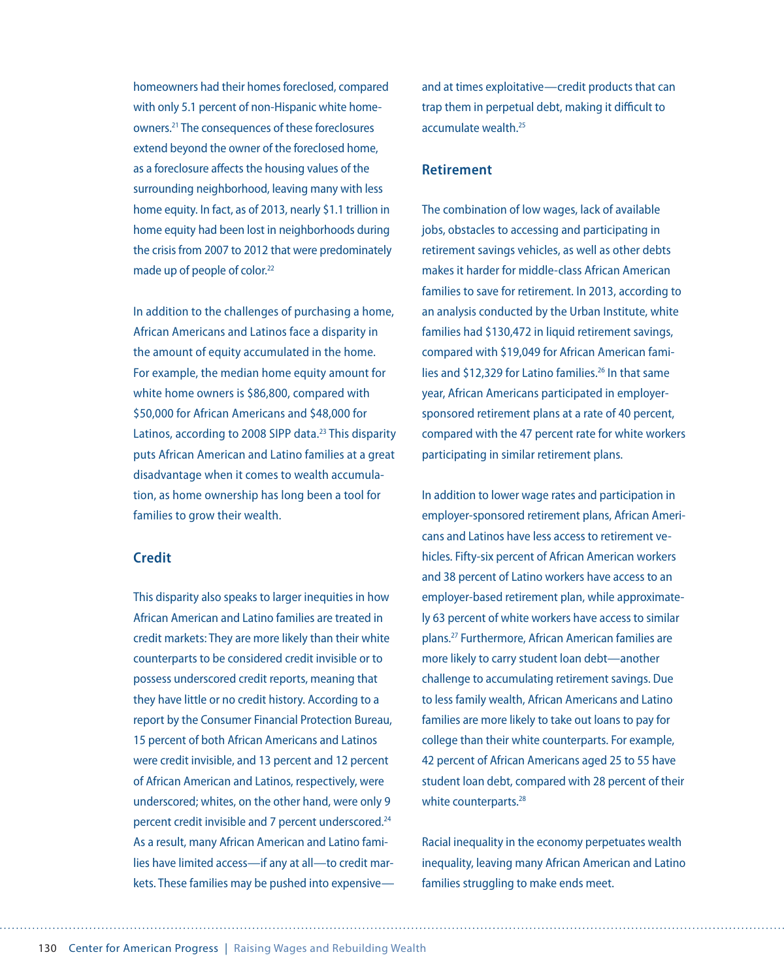homeowners had their homes foreclosed, compared with only 5.1 percent of non-Hispanic white homeowners.21 The consequences of these foreclosures extend beyond the owner of the foreclosed home, as a foreclosure affects the housing values of the surrounding neighborhood, leaving many with less home equity. In fact, as of 2013, nearly \$1.1 trillion in home equity had been lost in neighborhoods during the crisis from 2007 to 2012 that were predominately made up of people of color.<sup>22</sup>

In addition to the challenges of purchasing a home, African Americans and Latinos face a disparity in the amount of equity accumulated in the home. For example, the median home equity amount for white home owners is \$86,800, compared with \$50,000 for African Americans and \$48,000 for Latinos, according to 2008 SIPP data.<sup>23</sup> This disparity puts African American and Latino families at a great disadvantage when it comes to wealth accumulation, as home ownership has long been a tool for families to grow their wealth.

## **Credit**

This disparity also speaks to larger inequities in how African American and Latino families are treated in credit markets: They are more likely than their white counterparts to be considered credit invisible or to possess underscored credit reports, meaning that they have little or no credit history. According to a report by the Consumer Financial Protection Bureau, 15 percent of both African Americans and Latinos were credit invisible, and 13 percent and 12 percent of African American and Latinos, respectively, were underscored; whites, on the other hand, were only 9 percent credit invisible and 7 percent underscored.24 As a result, many African American and Latino families have limited access—if any at all—to credit markets. These families may be pushed into expensiveand at times exploitative—credit products that can trap them in perpetual debt, making it difficult to  $\arctan(\theta)$  wealth  $^{25}$ 

## **Retirement**

The combination of low wages, lack of available jobs, obstacles to accessing and participating in retirement savings vehicles, as well as other debts makes it harder for middle-class African American families to save for retirement. In 2013, according to an analysis conducted by the Urban Institute, white families had \$130,472 in liquid retirement savings, compared with \$19,049 for African American families and \$12,329 for Latino families.<sup>26</sup> In that same year, African Americans participated in employersponsored retirement plans at a rate of 40 percent, compared with the 47 percent rate for white workers participating in similar retirement plans.

In addition to lower wage rates and participation in employer-sponsored retirement plans, African Americans and Latinos have less access to retirement vehicles. Fifty-six percent of African American workers and 38 percent of Latino workers have access to an employer-based retirement plan, while approximately 63 percent of white workers have access to similar plans.27 Furthermore, African American families are more likely to carry student loan debt—another challenge to accumulating retirement savings. Due to less family wealth, African Americans and Latino families are more likely to take out loans to pay for college than their white counterparts. For example, 42 percent of African Americans aged 25 to 55 have student loan debt, compared with 28 percent of their white counterparts.<sup>28</sup>

Racial inequality in the economy perpetuates wealth inequality, leaving many African American and Latino families struggling to make ends meet.